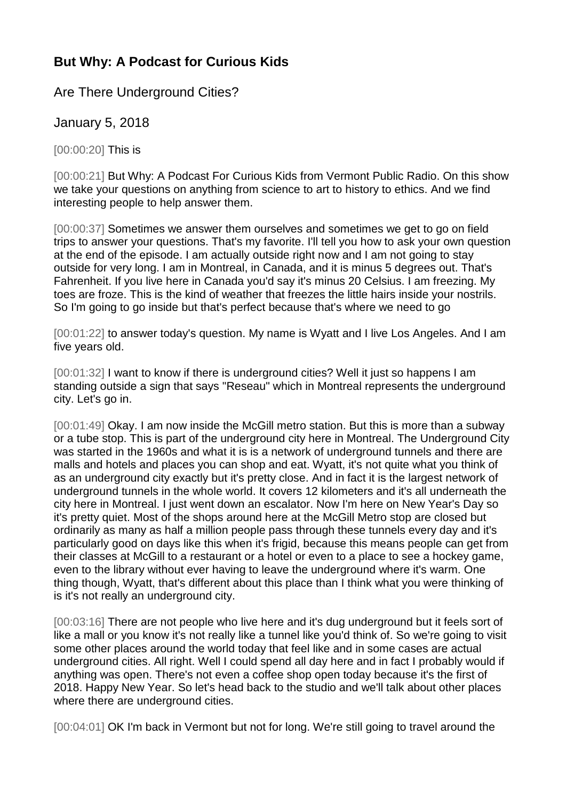## **But Why: A Podcast for Curious Kids**

Are There Underground Cities?

January 5, 2018

[00:00:20] This is

[00:00:21] But Why: A Podcast For Curious Kids from Vermont Public Radio. On this show we take your questions on anything from science to art to history to ethics. And we find interesting people to help answer them.

[00:00:37] Sometimes we answer them ourselves and sometimes we get to go on field trips to answer your questions. That's my favorite. I'll tell you how to ask your own question at the end of the episode. I am actually outside right now and I am not going to stay outside for very long. I am in Montreal, in Canada, and it is minus 5 degrees out. That's Fahrenheit. If you live here in Canada you'd say it's minus 20 Celsius. I am freezing. My toes are froze. This is the kind of weather that freezes the little hairs inside your nostrils. So I'm going to go inside but that's perfect because that's where we need to go

[00:01:22] to answer today's question. My name is Wyatt and I live Los Angeles. And I am five years old.

[00:01:32] I want to know if there is underground cities? Well it just so happens I am standing outside a sign that says "Reseau" which in Montreal represents the underground city. Let's go in.

[00:01:49] Okay. I am now inside the McGill metro station. But this is more than a subway or a tube stop. This is part of the underground city here in Montreal. The Underground City was started in the 1960s and what it is is a network of underground tunnels and there are malls and hotels and places you can shop and eat. Wyatt, it's not quite what you think of as an underground city exactly but it's pretty close. And in fact it is the largest network of underground tunnels in the whole world. It covers 12 kilometers and it's all underneath the city here in Montreal. I just went down an escalator. Now I'm here on New Year's Day so it's pretty quiet. Most of the shops around here at the McGill Metro stop are closed but ordinarily as many as half a million people pass through these tunnels every day and it's particularly good on days like this when it's frigid, because this means people can get from their classes at McGill to a restaurant or a hotel or even to a place to see a hockey game, even to the library without ever having to leave the underground where it's warm. One thing though, Wyatt, that's different about this place than I think what you were thinking of is it's not really an underground city.

[00:03:16] There are not people who live here and it's dug underground but it feels sort of like a mall or you know it's not really like a tunnel like you'd think of. So we're going to visit some other places around the world today that feel like and in some cases are actual underground cities. All right. Well I could spend all day here and in fact I probably would if anything was open. There's not even a coffee shop open today because it's the first of 2018. Happy New Year. So let's head back to the studio and we'll talk about other places where there are underground cities.

[00:04:01] OK I'm back in Vermont but not for long. We're still going to travel around the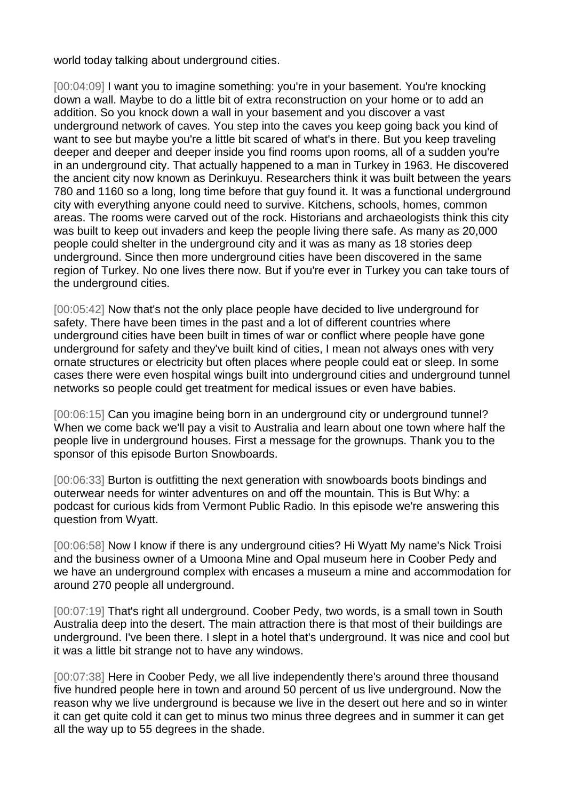world today talking about underground cities.

[00:04:09] I want you to imagine something: you're in your basement. You're knocking down a wall. Maybe to do a little bit of extra reconstruction on your home or to add an addition. So you knock down a wall in your basement and you discover a vast underground network of caves. You step into the caves you keep going back you kind of want to see but maybe you're a little bit scared of what's in there. But you keep traveling deeper and deeper and deeper inside you find rooms upon rooms, all of a sudden you're in an underground city. That actually happened to a man in Turkey in 1963. He discovered the ancient city now known as Derinkuyu. Researchers think it was built between the years 780 and 1160 so a long, long time before that guy found it. It was a functional underground city with everything anyone could need to survive. Kitchens, schools, homes, common areas. The rooms were carved out of the rock. Historians and archaeologists think this city was built to keep out invaders and keep the people living there safe. As many as 20,000 people could shelter in the underground city and it was as many as 18 stories deep underground. Since then more underground cities have been discovered in the same region of Turkey. No one lives there now. But if you're ever in Turkey you can take tours of the underground cities.

[00:05:42] Now that's not the only place people have decided to live underground for safety. There have been times in the past and a lot of different countries where underground cities have been built in times of war or conflict where people have gone underground for safety and they've built kind of cities, I mean not always ones with very ornate structures or electricity but often places where people could eat or sleep. In some cases there were even hospital wings built into underground cities and underground tunnel networks so people could get treatment for medical issues or even have babies.

[00:06:15] Can you imagine being born in an underground city or underground tunnel? When we come back we'll pay a visit to Australia and learn about one town where half the people live in underground houses. First a message for the grownups. Thank you to the sponsor of this episode Burton Snowboards.

[00:06:33] Burton is outfitting the next generation with snowboards boots bindings and outerwear needs for winter adventures on and off the mountain. This is But Why: a podcast for curious kids from Vermont Public Radio. In this episode we're answering this question from Wyatt.

[00:06:58] Now I know if there is any underground cities? Hi Wyatt My name's Nick Troisi and the business owner of a Umoona Mine and Opal museum here in Coober Pedy and we have an underground complex with encases a museum a mine and accommodation for around 270 people all underground.

[00:07:19] That's right all underground. Coober Pedy, two words, is a small town in South Australia deep into the desert. The main attraction there is that most of their buildings are underground. I've been there. I slept in a hotel that's underground. It was nice and cool but it was a little bit strange not to have any windows.

[00:07:38] Here in Coober Pedy, we all live independently there's around three thousand five hundred people here in town and around 50 percent of us live underground. Now the reason why we live underground is because we live in the desert out here and so in winter it can get quite cold it can get to minus two minus three degrees and in summer it can get all the way up to 55 degrees in the shade.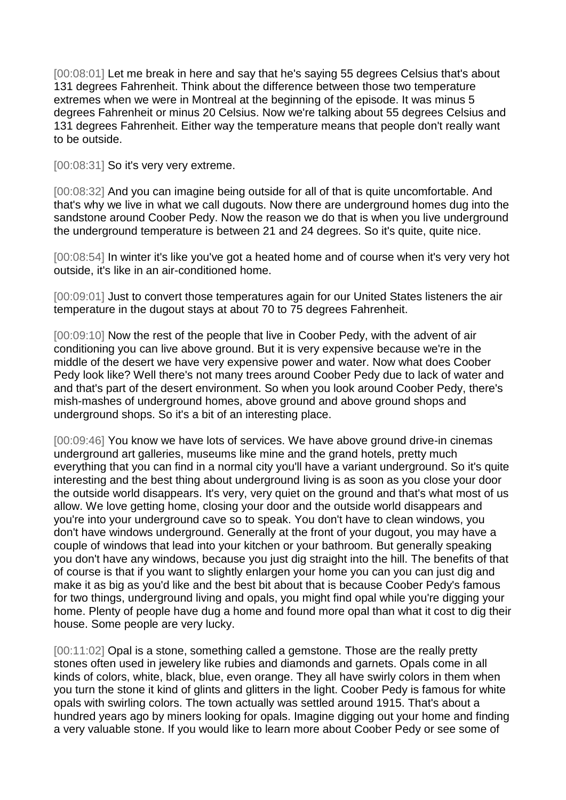[00:08:01] Let me break in here and say that he's saying 55 degrees Celsius that's about 131 degrees Fahrenheit. Think about the difference between those two temperature extremes when we were in Montreal at the beginning of the episode. It was minus 5 degrees Fahrenheit or minus 20 Celsius. Now we're talking about 55 degrees Celsius and 131 degrees Fahrenheit. Either way the temperature means that people don't really want to be outside.

[00:08:31] So it's very very extreme.

[00:08:32] And you can imagine being outside for all of that is quite uncomfortable. And that's why we live in what we call dugouts. Now there are underground homes dug into the sandstone around Coober Pedy. Now the reason we do that is when you live underground the underground temperature is between 21 and 24 degrees. So it's quite, quite nice.

[00:08:54] In winter it's like you've got a heated home and of course when it's very very hot outside, it's like in an air-conditioned home.

[00:09:01] Just to convert those temperatures again for our United States listeners the air temperature in the dugout stays at about 70 to 75 degrees Fahrenheit.

[00:09:10] Now the rest of the people that live in Coober Pedy, with the advent of air conditioning you can live above ground. But it is very expensive because we're in the middle of the desert we have very expensive power and water. Now what does Coober Pedy look like? Well there's not many trees around Coober Pedy due to lack of water and and that's part of the desert environment. So when you look around Coober Pedy, there's mish-mashes of underground homes, above ground and above ground shops and underground shops. So it's a bit of an interesting place.

[00:09:46] You know we have lots of services. We have above ground drive-in cinemas underground art galleries, museums like mine and the grand hotels, pretty much everything that you can find in a normal city you'll have a variant underground. So it's quite interesting and the best thing about underground living is as soon as you close your door the outside world disappears. It's very, very quiet on the ground and that's what most of us allow. We love getting home, closing your door and the outside world disappears and you're into your underground cave so to speak. You don't have to clean windows, you don't have windows underground. Generally at the front of your dugout, you may have a couple of windows that lead into your kitchen or your bathroom. But generally speaking you don't have any windows, because you just dig straight into the hill. The benefits of that of course is that if you want to slightly enlargen your home you can you can just dig and make it as big as you'd like and the best bit about that is because Coober Pedy's famous for two things, underground living and opals, you might find opal while you're digging your home. Plenty of people have dug a home and found more opal than what it cost to dig their house. Some people are very lucky.

[00:11:02] Opal is a stone, something called a gemstone. Those are the really pretty stones often used in jewelery like rubies and diamonds and garnets. Opals come in all kinds of colors, white, black, blue, even orange. They all have swirly colors in them when you turn the stone it kind of glints and glitters in the light. Coober Pedy is famous for white opals with swirling colors. The town actually was settled around 1915. That's about a hundred years ago by miners looking for opals. Imagine digging out your home and finding a very valuable stone. If you would like to learn more about Coober Pedy or see some of